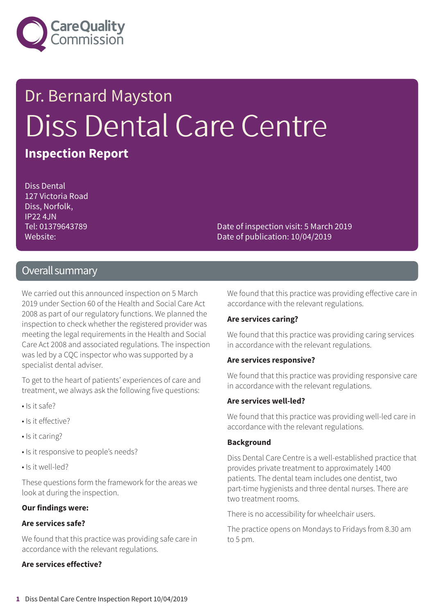

# Dr. Bernard Mayston Diss Dental Care Centre

### **Inspection Report**

Diss Dental 127 Victoria Road Diss, Norfolk, IP22 4JN Tel: 01379643789 Website:

Date of inspection visit: 5 March 2019 Date of publication: 10/04/2019

#### Overall summary

We carried out this announced inspection on 5 March 2019 under Section 60 of the Health and Social Care Act 2008 as part of our regulatory functions. We planned the inspection to check whether the registered provider was meeting the legal requirements in the Health and Social Care Act 2008 and associated regulations. The inspection was led by a CQC inspector who was supported by a specialist dental adviser.

To get to the heart of patients' experiences of care and treatment, we always ask the following five questions:

- Is it safe?
- Is it effective?
- Is it caring?
- Is it responsive to people's needs?
- Is it well-led?

These questions form the framework for the areas we look at during the inspection.

#### **Our findings were:**

#### **Are services safe?**

We found that this practice was providing safe care in accordance with the relevant regulations.

#### **Are services effective?**

We found that this practice was providing effective care in accordance with the relevant regulations.

#### **Are services caring?**

We found that this practice was providing caring services in accordance with the relevant regulations.

#### **Are services responsive?**

We found that this practice was providing responsive care in accordance with the relevant regulations.

#### **Are services well-led?**

We found that this practice was providing well-led care in accordance with the relevant regulations.

#### **Background**

Diss Dental Care Centre is a well-established practice that provides private treatment to approximately 1400 patients. The dental team includes one dentist, two part-time hygienists and three dental nurses. There are two treatment rooms.

There is no accessibility for wheelchair users.

The practice opens on Mondays to Fridays from 8.30 am to 5 pm.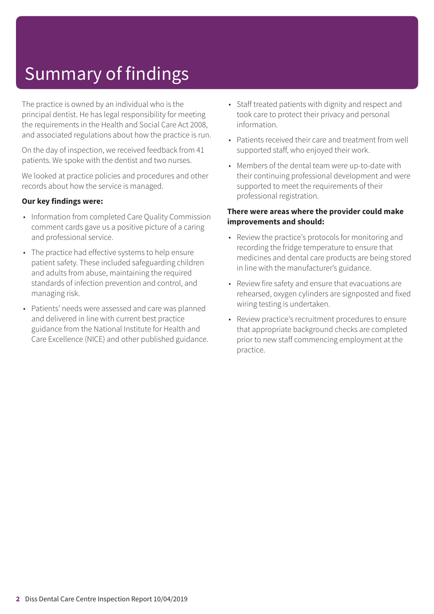## Summary of findings

The practice is owned by an individual who is the principal dentist. He has legal responsibility for meeting the requirements in the Health and Social Care Act 2008, and associated regulations about how the practice is run.

On the day of inspection, we received feedback from 41 patients. We spoke with the dentist and two nurses.

We looked at practice policies and procedures and other records about how the service is managed.

#### **Our key findings were:**

- Information from completed Care Quality Commission comment cards gave us a positive picture of a caring and professional service.
- The practice had effective systems to help ensure patient safety. These included safeguarding children and adults from abuse, maintaining the required standards of infection prevention and control, and managing risk.
- Patients' needs were assessed and care was planned and delivered in line with current best practice guidance from the National Institute for Health and Care Excellence (NICE) and other published guidance.
- Staff treated patients with dignity and respect and took care to protect their privacy and personal information.
- Patients received their care and treatment from well supported staff, who enjoyed their work.
- Members of the dental team were up-to-date with their continuing professional development and were supported to meet the requirements of their professional registration.

#### **There were areas where the provider could make improvements and should:**

- Review the practice's protocols for monitoring and recording the fridge temperature to ensure that medicines and dental care products are being stored in line with the manufacturer's guidance.
- Review fire safety and ensure that evacuations are rehearsed, oxygen cylinders are signposted and fixed wiring testing is undertaken.
- Review practice's recruitment procedures to ensure that appropriate background checks are completed prior to new staff commencing employment at the practice.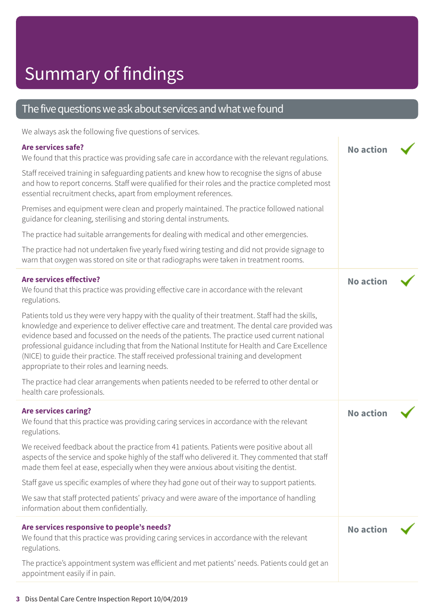#### The five questions we ask about services and what we found

We always ask the following five questions of services.

#### **Are services safe?**

We found that this practice was providing safe care in accordance with the relevant regulations.

**No action**

Staff received training in safeguarding patients and knew how to recognise the signs of abuse and how to report concerns. Staff were qualified for their roles and the practice completed most essential recruitment checks, apart from employment references.

Premises and equipment were clean and properly maintained. The practice followed national guidance for cleaning, sterilising and storing dental instruments.

The practice had suitable arrangements for dealing with medical and other emergencies.

The practice had not undertaken five yearly fixed wiring testing and did not provide signage to warn that oxygen was stored on site or that radiographs were taken in treatment rooms.

| <b>Are services effective?</b><br>We found that this practice was providing effective care in accordance with the relevant<br>regulations.                                                                                                                                                                                                                                                                                                                                                                                                          | <b>No action</b> |  |
|-----------------------------------------------------------------------------------------------------------------------------------------------------------------------------------------------------------------------------------------------------------------------------------------------------------------------------------------------------------------------------------------------------------------------------------------------------------------------------------------------------------------------------------------------------|------------------|--|
| Patients told us they were very happy with the quality of their treatment. Staff had the skills,<br>knowledge and experience to deliver effective care and treatment. The dental care provided was<br>evidence based and focussed on the needs of the patients. The practice used current national<br>professional guidance including that from the National Institute for Health and Care Excellence<br>(NICE) to guide their practice. The staff received professional training and development<br>appropriate to their roles and learning needs. |                  |  |
| The practice had clear arrangements when patients needed to be referred to other dental or<br>health care professionals.                                                                                                                                                                                                                                                                                                                                                                                                                            |                  |  |
| <b>Are services caring?</b><br>We found that this practice was providing caring services in accordance with the relevant<br>regulations.                                                                                                                                                                                                                                                                                                                                                                                                            | <b>No action</b> |  |
| We received feedback about the practice from 41 patients. Patients were positive about all<br>aspects of the service and spoke highly of the staff who delivered it. They commented that staff<br>made them feel at ease, especially when they were anxious about visiting the dentist.                                                                                                                                                                                                                                                             |                  |  |
| Staff gave us specific examples of where they had gone out of their way to support patients.                                                                                                                                                                                                                                                                                                                                                                                                                                                        |                  |  |
| We saw that staff protected patients' privacy and were aware of the importance of handling<br>information about them confidentially.                                                                                                                                                                                                                                                                                                                                                                                                                |                  |  |
| Are services responsive to people's needs?<br>We found that this practice was providing caring services in accordance with the relevant<br>regulations.                                                                                                                                                                                                                                                                                                                                                                                             | <b>No action</b> |  |
| The practice's appointment system was efficient and met patients' needs. Patients could get an<br>appointment easily if in pain.                                                                                                                                                                                                                                                                                                                                                                                                                    |                  |  |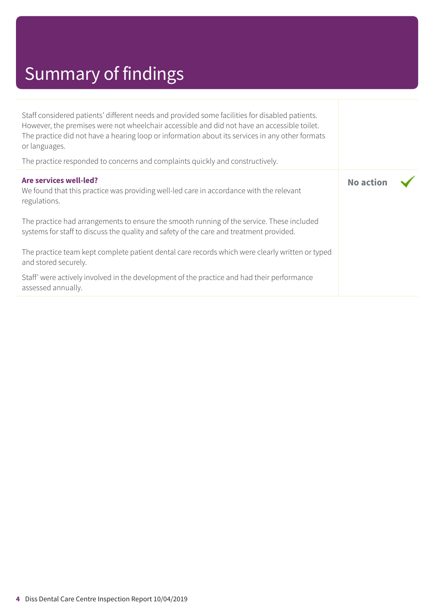### Summary of findings

Staff considered patients' different needs and provided some facilities for disabled patients. However, the premises were not wheelchair accessible and did not have an accessible toilet. The practice did not have a hearing loop or information about its services in any other formats or languages.

The practice responded to concerns and complaints quickly and constructively.

| Are services well-led?<br>We found that this practice was providing well-led care in accordance with the relevant<br>regulations.                                                    | <b>No action</b> |  |
|--------------------------------------------------------------------------------------------------------------------------------------------------------------------------------------|------------------|--|
| The practice had arrangements to ensure the smooth running of the service. These included<br>systems for staff to discuss the quality and safety of the care and treatment provided. |                  |  |
| The practice team kept complete patient dental care records which were clearly written or typed<br>and stored securely.                                                              |                  |  |
| Staff' were actively involved in the development of the practice and had their performance<br>assessed annually.                                                                     |                  |  |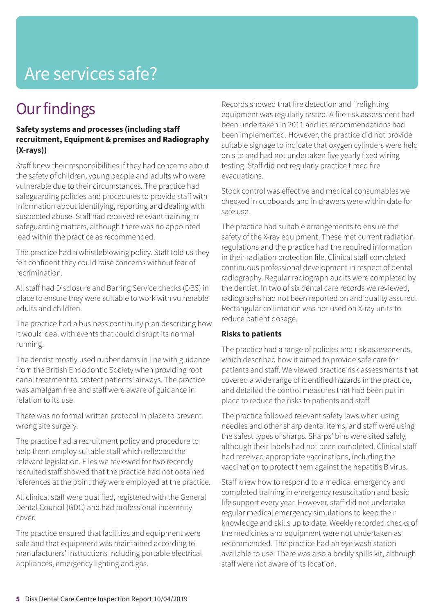### Are services safe?

### **Our findings**

#### **Safety systems and processes (including staff recruitment, Equipment & premises and Radiography (X-rays))**

Staff knew their responsibilities if they had concerns about the safety of children, young people and adults who were vulnerable due to their circumstances. The practice had safeguarding policies and procedures to provide staff with information about identifying, reporting and dealing with suspected abuse. Staff had received relevant training in safeguarding matters, although there was no appointed lead within the practice as recommended.

The practice had a whistleblowing policy. Staff told us they felt confident they could raise concerns without fear of recrimination.

All staff had Disclosure and Barring Service checks (DBS) in place to ensure they were suitable to work with vulnerable adults and children.

The practice had a business continuity plan describing how it would deal with events that could disrupt its normal running.

The dentist mostly used rubber dams in line with guidance from the British Endodontic Society when providing root canal treatment to protect patients' airways. The practice was amalgam free and staff were aware of guidance in relation to its use.

There was no formal written protocol in place to prevent wrong site surgery.

The practice had a recruitment policy and procedure to help them employ suitable staff which reflected the relevant legislation. Files we reviewed for two recently recruited staff showed that the practice had not obtained references at the point they were employed at the practice.

All clinical staff were qualified, registered with the General Dental Council (GDC) and had professional indemnity cover.

The practice ensured that facilities and equipment were safe and that equipment was maintained according to manufacturers' instructions including portable electrical appliances, emergency lighting and gas.

Records showed that fire detection and firefighting equipment was regularly tested. A fire risk assessment had been undertaken in 2011 and its recommendations had been implemented. However, the practice did not provide suitable signage to indicate that oxygen cylinders were held on site and had not undertaken five yearly fixed wiring testing. Staff did not regularly practice timed fire evacuations.

Stock control was effective and medical consumables we checked in cupboards and in drawers were within date for safe use.

The practice had suitable arrangements to ensure the safety of the X-ray equipment. These met current radiation regulations and the practice had the required information in their radiation protection file. Clinical staff completed continuous professional development in respect of dental radiography. Regular radiograph audits were completed by the dentist. In two of six dental care records we reviewed, radiographs had not been reported on and quality assured. Rectangular collimation was not used on X-ray units to reduce patient dosage.

#### **Risks to patients**

The practice had a range of policies and risk assessments, which described how it aimed to provide safe care for patients and staff. We viewed practice risk assessments that covered a wide range of identified hazards in the practice, and detailed the control measures that had been put in place to reduce the risks to patients and staff.

The practice followed relevant safety laws when using needles and other sharp dental items, and staff were using the safest types of sharps. Sharps' bins were sited safely, although their labels had not been completed. Clinical staff had received appropriate vaccinations, including the vaccination to protect them against the hepatitis B virus.

Staff knew how to respond to a medical emergency and completed training in emergency resuscitation and basic life support every year. However, staff did not undertake regular medical emergency simulations to keep their knowledge and skills up to date. Weekly recorded checks of the medicines and equipment were not undertaken as recommended. The practice had an eye wash station available to use. There was also a bodily spills kit, although staff were not aware of its location.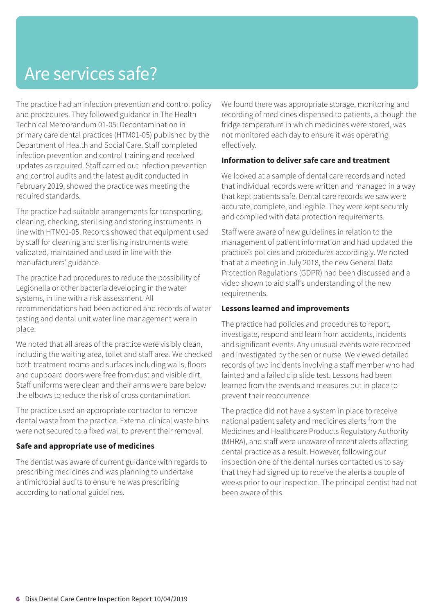### Are services safe?

The practice had an infection prevention and control policy and procedures. They followed guidance in The Health Technical Memorandum 01-05: Decontamination in primary care dental practices (HTM01-05) published by the Department of Health and Social Care. Staff completed infection prevention and control training and received updates as required. Staff carried out infection prevention and control audits and the latest audit conducted in February 2019, showed the practice was meeting the required standards.

The practice had suitable arrangements for transporting, cleaning, checking, sterilising and storing instruments in line with HTM01-05. Records showed that equipment used by staff for cleaning and sterilising instruments were validated, maintained and used in line with the manufacturers' guidance.

The practice had procedures to reduce the possibility of Legionella or other bacteria developing in the water systems, in line with a risk assessment. All recommendations had been actioned and records of water testing and dental unit water line management were in place.

We noted that all areas of the practice were visibly clean, including the waiting area, toilet and staff area. We checked both treatment rooms and surfaces including walls, floors and cupboard doors were free from dust and visible dirt. Staff uniforms were clean and their arms were bare below the elbows to reduce the risk of cross contamination.

The practice used an appropriate contractor to remove dental waste from the practice. External clinical waste bins were not secured to a fixed wall to prevent their removal.

#### **Safe and appropriate use of medicines**

The dentist was aware of current guidance with regards to prescribing medicines and was planning to undertake antimicrobial audits to ensure he was prescribing according to national guidelines.

We found there was appropriate storage, monitoring and recording of medicines dispensed to patients, although the fridge temperature in which medicines were stored, was not monitored each day to ensure it was operating effectively.

#### **Information to deliver safe care and treatment**

We looked at a sample of dental care records and noted that individual records were written and managed in a way that kept patients safe. Dental care records we saw were accurate, complete, and legible. They were kept securely and complied with data protection requirements.

Staff were aware of new guidelines in relation to the management of patient information and had updated the practice's policies and procedures accordingly. We noted that at a meeting in July 2018, the new General Data Protection Regulations (GDPR) had been discussed and a video shown to aid staff's understanding of the new requirements.

#### **Lessons learned and improvements**

The practice had policies and procedures to report, investigate, respond and learn from accidents, incidents and significant events. Any unusual events were recorded and investigated by the senior nurse. We viewed detailed records of two incidents involving a staff member who had fainted and a failed dip slide test. Lessons had been learned from the events and measures put in place to prevent their reoccurrence.

The practice did not have a system in place to receive national patient safety and medicines alerts from the Medicines and Healthcare Products Regulatory Authority (MHRA), and staff were unaware of recent alerts affecting dental practice as a result. However, following our inspection one of the dental nurses contacted us to say that they had signed up to receive the alerts a couple of weeks prior to our inspection. The principal dentist had not been aware of this.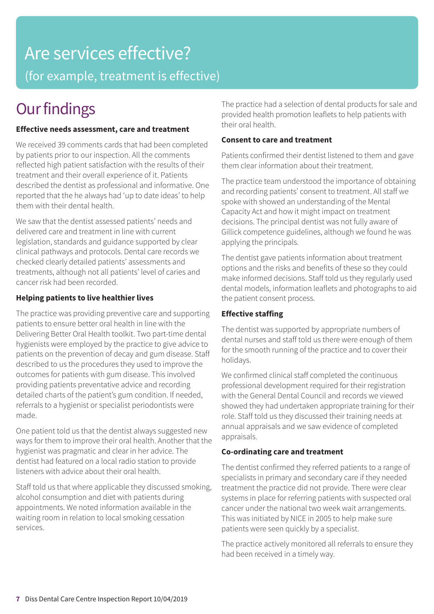### Are services effective? (for example, treatment is effective)

### **Our findings**

#### **Effective needs assessment, care and treatment**

We received 39 comments cards that had been completed by patients prior to our inspection. All the comments reflected high patient satisfaction with the results of their treatment and their overall experience of it. Patients described the dentist as professional and informative. One reported that the he always had 'up to date ideas' to help them with their dental health.

We saw that the dentist assessed patients' needs and delivered care and treatment in line with current legislation, standards and guidance supported by clear clinical pathways and protocols. Dental care records we checked clearly detailed patients' assessments and treatments, although not all patients' level of caries and cancer risk had been recorded.

#### **Helping patients to live healthier lives**

The practice was providing preventive care and supporting patients to ensure better oral health in line with the Delivering Better Oral Health toolkit. Two part-time dental hygienists were employed by the practice to give advice to patients on the prevention of decay and gum disease. Staff described to us the procedures they used to improve the outcomes for patients with gum disease. This involved providing patients preventative advice and recording detailed charts of the patient's gum condition. If needed, referrals to a hygienist or specialist periodontists were made.

One patient told us that the dentist always suggested new ways for them to improve their oral health. Another that the hygienist was pragmatic and clear in her advice. The dentist had featured on a local radio station to provide listeners with advice about their oral health.

Staff told us that where applicable they discussed smoking, alcohol consumption and diet with patients during appointments. We noted information available in the waiting room in relation to local smoking cessation services.

The practice had a selection of dental products for sale and provided health promotion leaflets to help patients with their oral health.

#### **Consent to care and treatment**

Patients confirmed their dentist listened to them and gave them clear information about their treatment.

The practice team understood the importance of obtaining and recording patients' consent to treatment. All staff we spoke with showed an understanding of the Mental Capacity Act and how it might impact on treatment decisions. The principal dentist was not fully aware of Gillick competence guidelines, although we found he was applying the principals.

The dentist gave patients information about treatment options and the risks and benefits of these so they could make informed decisions. Staff told us they regularly used dental models, information leaflets and photographs to aid the patient consent process.

#### **Effective staffing**

The dentist was supported by appropriate numbers of dental nurses and staff told us there were enough of them for the smooth running of the practice and to cover their holidays.

We confirmed clinical staff completed the continuous professional development required for their registration with the General Dental Council and records we viewed showed they had undertaken appropriate training for their role. Staff told us they discussed their training needs at annual appraisals and we saw evidence of completed appraisals.

#### **Co-ordinating care and treatment**

The dentist confirmed they referred patients to a range of specialists in primary and secondary care if they needed treatment the practice did not provide. There were clear systems in place for referring patients with suspected oral cancer under the national two week wait arrangements. This was initiated by NICE in 2005 to help make sure patients were seen quickly by a specialist.

The practice actively monitored all referrals to ensure they had been received in a timely way.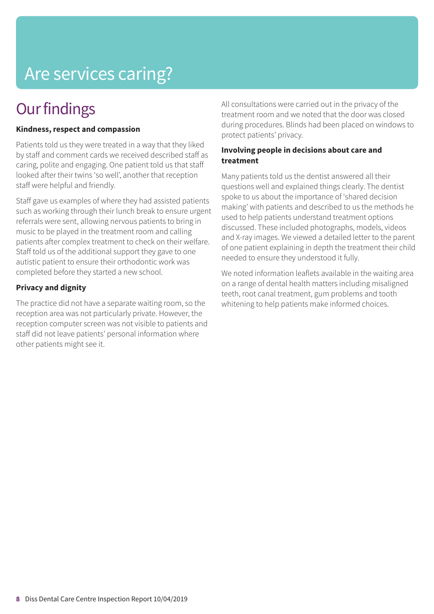## Are services caring?

### **Our findings**

#### **Kindness, respect and compassion**

Patients told us they were treated in a way that they liked by staff and comment cards we received described staff as caring, polite and engaging. One patient told us that staff looked after their twins 'so well', another that reception staff were helpful and friendly.

Staff gave us examples of where they had assisted patients such as working through their lunch break to ensure urgent referrals were sent, allowing nervous patients to bring in music to be played in the treatment room and calling patients after complex treatment to check on their welfare. Staff told us of the additional support they gave to one autistic patient to ensure their orthodontic work was completed before they started a new school.

#### **Privacy and dignity**

The practice did not have a separate waiting room, so the reception area was not particularly private. However, the reception computer screen was not visible to patients and staff did not leave patients' personal information where other patients might see it.

All consultations were carried out in the privacy of the treatment room and we noted that the door was closed during procedures. Blinds had been placed on windows to protect patients' privacy.

#### **Involving people in decisions about care and treatment**

Many patients told us the dentist answered all their questions well and explained things clearly. The dentist spoke to us about the importance of 'shared decision making' with patients and described to us the methods he used to help patients understand treatment options discussed. These included photographs, models, videos and X-ray images. We viewed a detailed letter to the parent of one patient explaining in depth the treatment their child needed to ensure they understood it fully.

We noted information leaflets available in the waiting area on a range of dental health matters including misaligned teeth, root canal treatment, gum problems and tooth whitening to help patients make informed choices.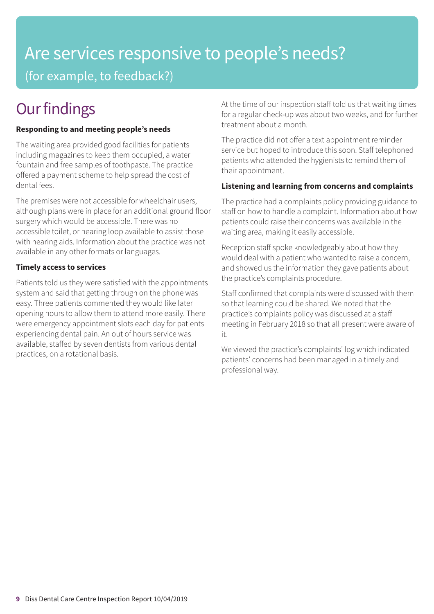### Are services responsive to people's needs? (for example, to feedback?)

### **Our findings**

#### **Responding to and meeting people's needs**

The waiting area provided good facilities for patients including magazines to keep them occupied, a water fountain and free samples of toothpaste. The practice offered a payment scheme to help spread the cost of dental fees.

The premises were not accessible for wheelchair users, although plans were in place for an additional ground floor surgery which would be accessible. There was no accessible toilet, or hearing loop available to assist those with hearing aids. Information about the practice was not available in any other formats or languages.

#### **Timely access to services**

Patients told us they were satisfied with the appointments system and said that getting through on the phone was easy. Three patients commented they would like later opening hours to allow them to attend more easily. There were emergency appointment slots each day for patients experiencing dental pain. An out of hours service was available, staffed by seven dentists from various dental practices, on a rotational basis.

At the time of our inspection staff told us that waiting times for a regular check-up was about two weeks, and for further treatment about a month.

The practice did not offer a text appointment reminder service but hoped to introduce this soon. Staff telephoned patients who attended the hygienists to remind them of their appointment.

#### **Listening and learning from concerns and complaints**

The practice had a complaints policy providing guidance to staff on how to handle a complaint. Information about how patients could raise their concerns was available in the waiting area, making it easily accessible.

Reception staff spoke knowledgeably about how they would deal with a patient who wanted to raise a concern, and showed us the information they gave patients about the practice's complaints procedure.

Staff confirmed that complaints were discussed with them so that learning could be shared. We noted that the practice's complaints policy was discussed at a staff meeting in February 2018 so that all present were aware of it.

We viewed the practice's complaints' log which indicated patients' concerns had been managed in a timely and professional way.